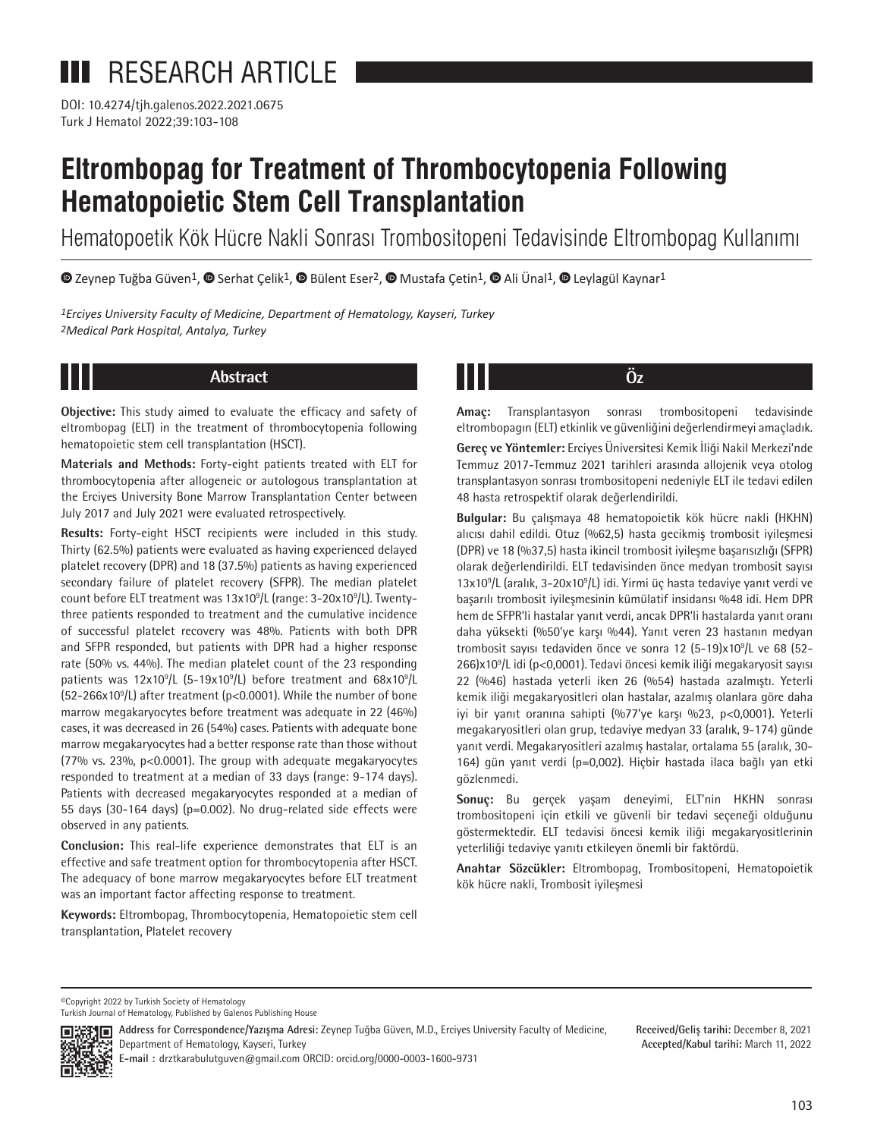Turk J Hematol 2022;39:103-108 DOI: 10.4274/tjh.galenos.2022.2021.0675

# **Eltrombopag for Treatment of Thrombocytopenia Following Hematopoietic Stem Cell Transplantation**

Hematopoetik Kök Hücre Nakli Sonrası Trombositopeni Tedavisinde Eltrombopag Kullanımı

 $\bullet$ Zeynep Tuğba Güven<sup>1</sup>,  $\bullet$  [S](https://orcid.org/)erhat Çelik<sup>1</sup>,  $\bullet$  Bülent Eser<sup>2</sup>,  $\bullet$  Mustafa Çetin<sup>1</sup>,  $\bullet$  Ali Ünal<sup>1</sup>,  $\bullet$  [L](https://orcid.org/0000-0002-2035-9462)eylagül Kaynar<sup>1</sup>

*1Erciyes University Faculty of Medicine, Department of Hematology, Kayseri, Turkey 2Medical Park Hospital, Antalya, Turkey*

**Objective:** This study aimed to evaluate the efficacy and safety of eltrombopag (ELT) in the treatment of thrombocytopenia following hematopoietic stem cell transplantation (HSCT).

**Materials and Methods:** Forty-eight patients treated with ELT for thrombocytopenia after allogeneic or autologous transplantation at the Erciyes University Bone Marrow Transplantation Center between July 2017 and July 2021 were evaluated retrospectively.

**Results:** Forty-eight HSCT recipients were included in this study. Thirty (62.5%) patients were evaluated as having experienced delayed platelet recovery (DPR) and 18 (37.5%) patients as having experienced secondary failure of platelet recovery (SFPR). The median platelet count before ELT treatment was 13x10<sup>9</sup>/L (range: 3-20x10<sup>9</sup>/L). Twentythree patients responded to treatment and the cumulative incidence of successful platelet recovery was 48%. Patients with both DPR and SFPR responded, but patients with DPR had a higher response rate (50% vs. 44%). The median platelet count of the 23 responding patients was 12x10<sup>9</sup>/L (5-19x10<sup>9</sup>/L) before treatment and 68x10<sup>9</sup>/L  $(52-266x10<sup>9</sup>/L)$  after treatment (p<0.0001). While the number of bone marrow megakaryocytes before treatment was adequate in 22 (46%) cases, it was decreased in 26 (54%) cases. Patients with adequate bone marrow megakaryocytes had a better response rate than those without (77% vs. 23%, p<0.0001). The group with adequate megakaryocytes responded to treatment at a median of 33 days (range: 9-174 days). Patients with decreased megakaryocytes responded at a median of 55 days (30-164 days) (p=0.002). No drug-related side effects were observed in any patients.

**Conclusion:** This real-life experience demonstrates that ELT is an effective and safe treatment option for thrombocytopenia after HSCT. The adequacy of bone marrow megakaryocytes before ELT treatment was an important factor affecting response to treatment.

**Keywords:** Eltrombopag, Thrombocytopenia, Hematopoietic stem cell transplantation, Platelet recovery

## **Abstract Öz**

**Amaç:** Transplantasyon sonrası trombositopeni tedavisinde eltrombopagın (ELT) etkinlik ve güvenliğini değerlendirmeyi amaçladık.

**Gereç ve Yöntemler:** Erciyes Üniversitesi Kemik İliği Nakil Merkezi'nde Temmuz 2017-Temmuz 2021 tarihleri arasında allojenik veya otolog transplantasyon sonrası trombositopeni nedeniyle ELT ile tedavi edilen 48 hasta retrospektif olarak değerlendirildi.

**Bulgular:** Bu çalışmaya 48 hematopoietik kök hücre nakli (HKHN) alıcısı dahil edildi. Otuz (%62,5) hasta gecikmiş trombosit iyileşmesi (DPR) ve 18 (%37,5) hasta ikincil trombosit iyileşme başarısızlığı (SFPR) olarak değerlendirildi. ELT tedavisinden önce medyan trombosit sayısı 13x10<sup>9</sup>/L (aralık, 3-20x10<sup>9</sup>/L) idi. Yirmi üç hasta tedaviye yanıt verdi ve başarılı trombosit iyileşmesinin kümülatif insidansı %48 idi. Hem DPR hem de SFPR'li hastalar yanıt verdi, ancak DPR'li hastalarda yanıt oranı daha yüksekti (%50'ye karşı %44). Yanıt veren 23 hastanın medyan trombosit sayısı tedaviden önce ve sonra 12 (5-19)x10<sup>9</sup>/L ve 68 (52-266)x10<sup>9</sup> /L idi (p<0,0001). Tedavi öncesi kemik iliği megakaryosit sayısı 22 (%46) hastada yeterli iken 26 (%54) hastada azalmıştı. Yeterli kemik iliği megakaryositleri olan hastalar, azalmış olanlara göre daha iyi bir yanıt oranına sahipti (%77'ye karşı %23, p<0,0001). Yeterli megakaryositleri olan grup, tedaviye medyan 33 (aralık, 9-174) günde yanıt verdi. Megakaryositleri azalmış hastalar, ortalama 55 (aralık, 30- 164) gün yanıt verdi (p=0,002). Hiçbir hastada ilaca bağlı yan etki gözlenmedi.

**Sonuç:** Bu gerçek yaşam deneyimi, ELT'nin HKHN sonrası trombositopeni için etkili ve güvenli bir tedavi seçeneği olduğunu göstermektedir. ELT tedavisi öncesi kemik iliği megakaryositlerinin yeterliliği tedaviye yanıtı etkileyen önemli bir faktördü.

**Anahtar Sözcükler:** Eltrombopag, Trombositopeni, Hematopoietik kök hücre nakli, Trombosit iyileşmesi

Turkish Journal of Hematology, Published by Galenos Publishing House



**Address for Correspondence/Yazışma Adresi:** Zeynep Tuğba Güven, M.D., Erciyes University Faculty of Medicine, Department of Hematology, Kayseri, Turkey

**E-mail :** drztkarabulutguven@gmail.com ORCID: orcid.org/0000-0003-1600-9731

**Received/Geliş tarihi:** December 8, 2021 **Accepted/Kabul tarihi:** March 11, 2022

<sup>©</sup>Copyright 2022 by Turkish Society of Hematology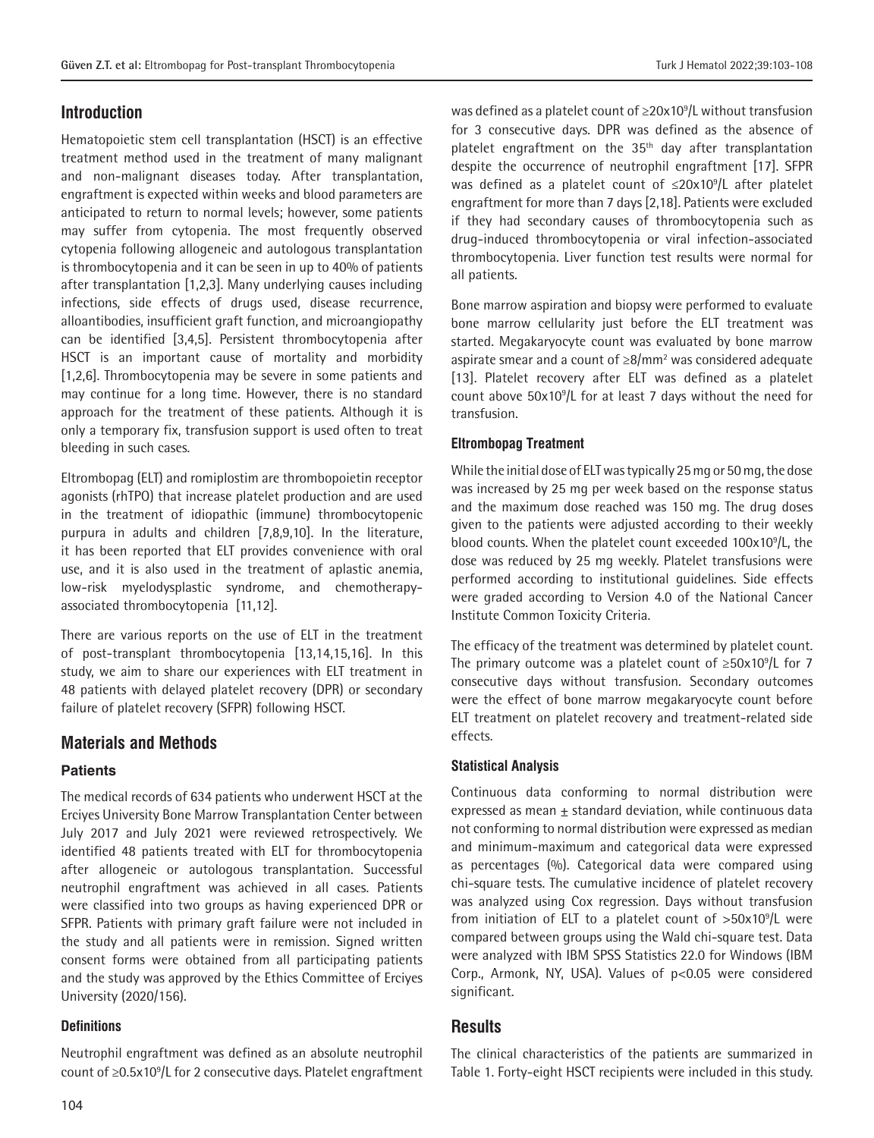### **Introduction**

Hematopoietic stem cell transplantation (HSCT) is an effective treatment method used in the treatment of many malignant and non-malignant diseases today. After transplantation, engraftment is expected within weeks and blood parameters are anticipated to return to normal levels; however, some patients may suffer from cytopenia. The most frequently observed cytopenia following allogeneic and autologous transplantation is thrombocytopenia and it can be seen in up to 40% of patients after transplantation [1,2,3]. Many underlying causes including infections, side effects of drugs used, disease recurrence, alloantibodies, insufficient graft function, and microangiopathy can be identified [3,4,5]. Persistent thrombocytopenia after HSCT is an important cause of mortality and morbidity [1,2,6]. Thrombocytopenia may be severe in some patients and may continue for a long time. However, there is no standard approach for the treatment of these patients. Although it is only a temporary fix, transfusion support is used often to treat bleeding in such cases.

Eltrombopag (ELT) and romiplostim are thrombopoietin receptor agonists (rhTPO) that increase platelet production and are used in the treatment of idiopathic (immune) thrombocytopenic purpura in adults and children [7,8,9,10]. In the literature, it has been reported that ELT provides convenience with oral use, and it is also used in the treatment of aplastic anemia, low-risk myelodysplastic syndrome, and chemotherapyassociated thrombocytopenia [11,12].

There are various reports on the use of ELT in the treatment of post-transplant thrombocytopenia [13,14,15,16]. In this study, we aim to share our experiences with ELT treatment in 48 patients with delayed platelet recovery (DPR) or secondary failure of platelet recovery (SFPR) following HSCT.

#### **Materials and Methods**

#### **Patients**

The medical records of 634 patients who underwent HSCT at the Erciyes University Bone Marrow Transplantation Center between July 2017 and July 2021 were reviewed retrospectively. We identified 48 patients treated with ELT for thrombocytopenia after allogeneic or autologous transplantation. Successful neutrophil engraftment was achieved in all cases. Patients were classified into two groups as having experienced DPR or SFPR. Patients with primary graft failure were not included in the study and all patients were in remission. Signed written consent forms were obtained from all participating patients and the study was approved by the Ethics Committee of Erciyes University (2020/156).

#### **Definitions**

Neutrophil engraftment was defined as an absolute neutrophil count of ≥0.5x10<sup>9</sup>/L for 2 consecutive days. Platelet engraftment was defined as a platelet count of  $\geq$ 20x10<sup>9</sup>/L without transfusion for 3 consecutive days. DPR was defined as the absence of platelet engraftment on the  $35<sup>th</sup>$  day after transplantation despite the occurrence of neutrophil engraftment [17]. SFPR was defined as a platelet count of  $\leq 20 \times 10^9$ /L after platelet engraftment for more than 7 days [2,18]. Patients were excluded if they had secondary causes of thrombocytopenia such as drug-induced thrombocytopenia or viral infection-associated thrombocytopenia. Liver function test results were normal for all patients.

Bone marrow aspiration and biopsy were performed to evaluate bone marrow cellularity just before the ELT treatment was started. Megakaryocyte count was evaluated by bone marrow aspirate smear and a count of ≥8/mm<sup>2</sup> was considered adequate [13]. Platelet recovery after ELT was defined as a platelet count above 50x10<sup>9</sup> /L for at least 7 days without the need for transfusion.

#### **Eltrombopag Treatment**

While the initial dose of ELT was typically 25 mg or 50 mg, the dose was increased by 25 mg per week based on the response status and the maximum dose reached was 150 mg. The drug doses given to the patients were adjusted according to their weekly blood counts. When the platelet count exceeded 100x10<sup>9</sup>/L, the dose was reduced by 25 mg weekly. Platelet transfusions were performed according to institutional guidelines. Side effects were graded according to Version 4.0 of the National Cancer Institute Common Toxicity Criteria.

The efficacy of the treatment was determined by platelet count. The primary outcome was a platelet count of  $\geq$ 50x10<sup>9</sup>/L for 7 consecutive days without transfusion. Secondary outcomes were the effect of bone marrow megakaryocyte count before ELT treatment on platelet recovery and treatment-related side effects.

#### **Statistical Analysis**

Continuous data conforming to normal distribution were expressed as mean  $\pm$  standard deviation, while continuous data not conforming to normal distribution were expressed as median and minimum-maximum and categorical data were expressed as percentages (%). Categorical data were compared using chi-square tests. The cumulative incidence of platelet recovery was analyzed using Cox regression. Days without transfusion from initiation of ELT to a platelet count of  $>50x10^9$ /L were compared between groups using the Wald chi-square test. Data were analyzed with IBM SPSS Statistics 22.0 for Windows (IBM Corp., Armonk, NY, USA). Values of p<0.05 were considered significant.

#### **Results**

The clinical characteristics of the patients are summarized in Table 1. Forty-eight HSCT recipients were included in this study.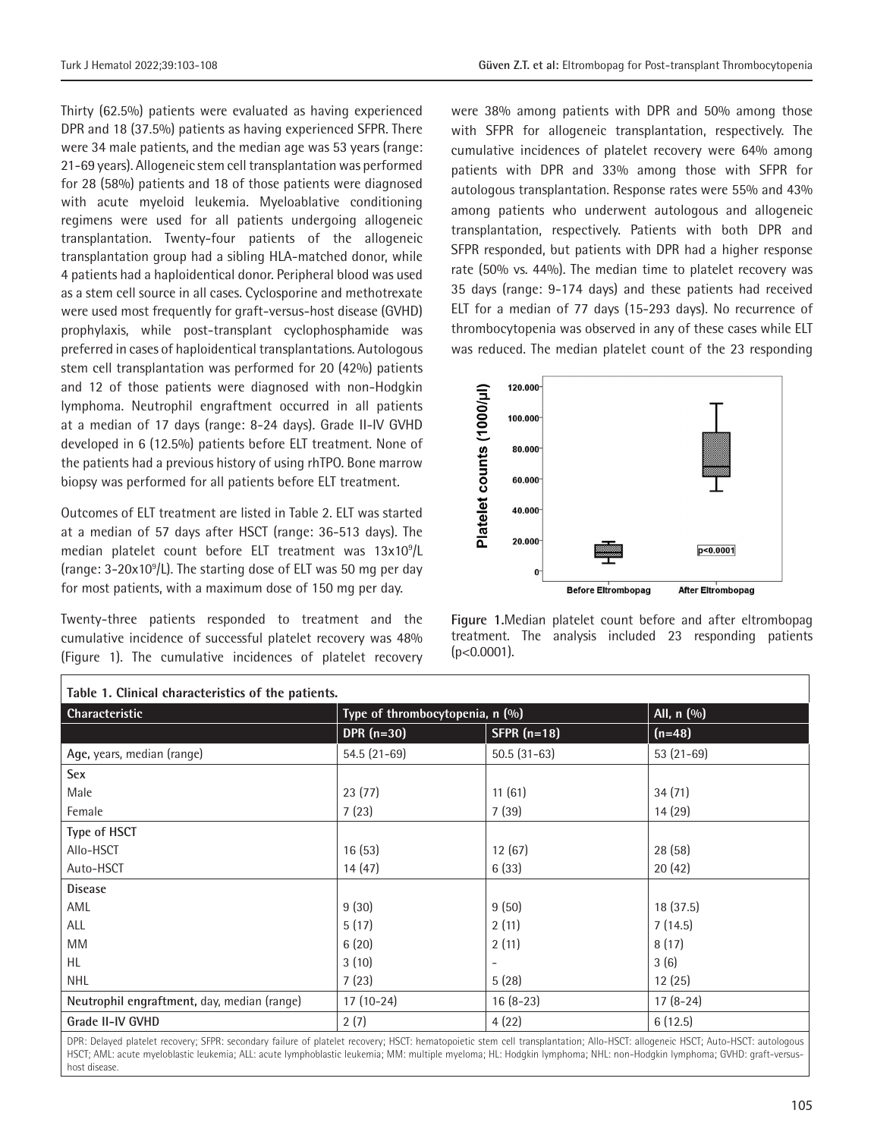Thirty (62.5%) patients were evaluated as having experienced DPR and 18 (37.5%) patients as having experienced SFPR. There were 34 male patients, and the median age was 53 years (range: 21-69 years). Allogeneic stem cell transplantation was performed for 28 (58%) patients and 18 of those patients were diagnosed with acute myeloid leukemia. Myeloablative conditioning regimens were used for all patients undergoing allogeneic transplantation. Twenty-four patients of the allogeneic transplantation group had a sibling HLA-matched donor, while 4 patients had a haploidentical donor. Peripheral blood was used as a stem cell source in all cases. Cyclosporine and methotrexate were used most frequently for graft-versus-host disease (GVHD) prophylaxis, while post-transplant cyclophosphamide was preferred in cases of haploidentical transplantations. Autologous stem cell transplantation was performed for 20 (42%) patients and 12 of those patients were diagnosed with non-Hodgkin lymphoma. Neutrophil engraftment occurred in all patients at a median of 17 days (range: 8-24 days). Grade II-IV GVHD developed in 6 (12.5%) patients before ELT treatment. None of the patients had a previous history of using rhTPO. Bone marrow biopsy was performed for all patients before ELT treatment.

Outcomes of ELT treatment are listed in Table 2. ELT was started at a median of 57 days after HSCT (range: 36-513 days). The median platelet count before ELT treatment was 13x10<sup>9</sup>/L (range: 3-20x10<sup>9</sup>/L). The starting dose of ELT was 50 mg per day for most patients, with a maximum dose of 150 mg per day.

Twenty-three patients responded to treatment and the cumulative incidence of successful platelet recovery was 48% (Figure 1). The cumulative incidences of platelet recovery

 $\Gamma$ 

were 38% among patients with DPR and 50% among those with SFPR for allogeneic transplantation, respectively. The cumulative incidences of platelet recovery were 64% among patients with DPR and 33% among those with SFPR for autologous transplantation. Response rates were 55% and 43% among patients who underwent autologous and allogeneic transplantation, respectively. Patients with both DPR and SFPR responded, but patients with DPR had a higher response rate (50% vs. 44%). The median time to platelet recovery was 35 days (range: 9-174 days) and these patients had received ELT for a median of 77 days (15-293 days). No recurrence of thrombocytopenia was observed in any of these cases while ELT was reduced. The median platelet count of the 23 responding



**Figure 1.**Median platelet count before and after eltrombopag treatment. The analysis included 23 responding patients  $(p<0.0001)$ .

| Table 1. Clinical characteristics of the patients.                                                                                                                             |                                 |               |             |  |  |  |
|--------------------------------------------------------------------------------------------------------------------------------------------------------------------------------|---------------------------------|---------------|-------------|--|--|--|
| <b>Characteristic</b>                                                                                                                                                          | Type of thrombocytopenia, n (%) |               | All, n (%)  |  |  |  |
|                                                                                                                                                                                | DPR $(n=30)$                    | SFPR $(n=18)$ | $(n=48)$    |  |  |  |
| Age, years, median (range)                                                                                                                                                     | $54.5(21-69)$                   | $50.5(31-63)$ | $53(21-69)$ |  |  |  |
| Sex                                                                                                                                                                            |                                 |               |             |  |  |  |
| Male                                                                                                                                                                           | 23(77)                          | 11(61)        | 34(71)      |  |  |  |
| Female                                                                                                                                                                         | 7(23)                           | 7(39)         | 14(29)      |  |  |  |
| Type of HSCT                                                                                                                                                                   |                                 |               |             |  |  |  |
| Allo-HSCT                                                                                                                                                                      | 16(53)                          | 12(67)        | 28(58)      |  |  |  |
| Auto-HSCT                                                                                                                                                                      | 14(47)                          | 6(33)         | 20(42)      |  |  |  |
| <b>Disease</b>                                                                                                                                                                 |                                 |               |             |  |  |  |
| AML                                                                                                                                                                            | 9(30)                           | 9(50)         | 18 (37.5)   |  |  |  |
| ALL                                                                                                                                                                            | 5(17)                           | 2(11)         | 7(14.5)     |  |  |  |
| MM                                                                                                                                                                             | 6(20)                           | 2(11)         | 8(17)       |  |  |  |
| HL.                                                                                                                                                                            | 3(10)                           |               | 3(6)        |  |  |  |
| <b>NHL</b>                                                                                                                                                                     | 7(23)                           | 5(28)         | 12(25)      |  |  |  |
| Neutrophil engraftment, day, median (range)                                                                                                                                    | $17(10-24)$                     | $16(8-23)$    | $17(8-24)$  |  |  |  |
| Grade II-IV GVHD                                                                                                                                                               | 2(7)                            | 4(22)         | 6(12.5)     |  |  |  |
| DPR: Delayed platelet recovery; SFPR: secondary failure of platelet recovery; HSCT: hematopoietic stem cell transplantation; Allo-HSCT: allogeneic HSCT; Auto-HSCT: autologous |                                 |               |             |  |  |  |

HSCT; AML: acute myeloblastic leukemia; ALL: acute lymphoblastic leukemia; MM: multiple myeloma; HL: Hodgkin lymphoma; NHL: non-Hodgkin lymphoma; GVHD: graft-versushost disease.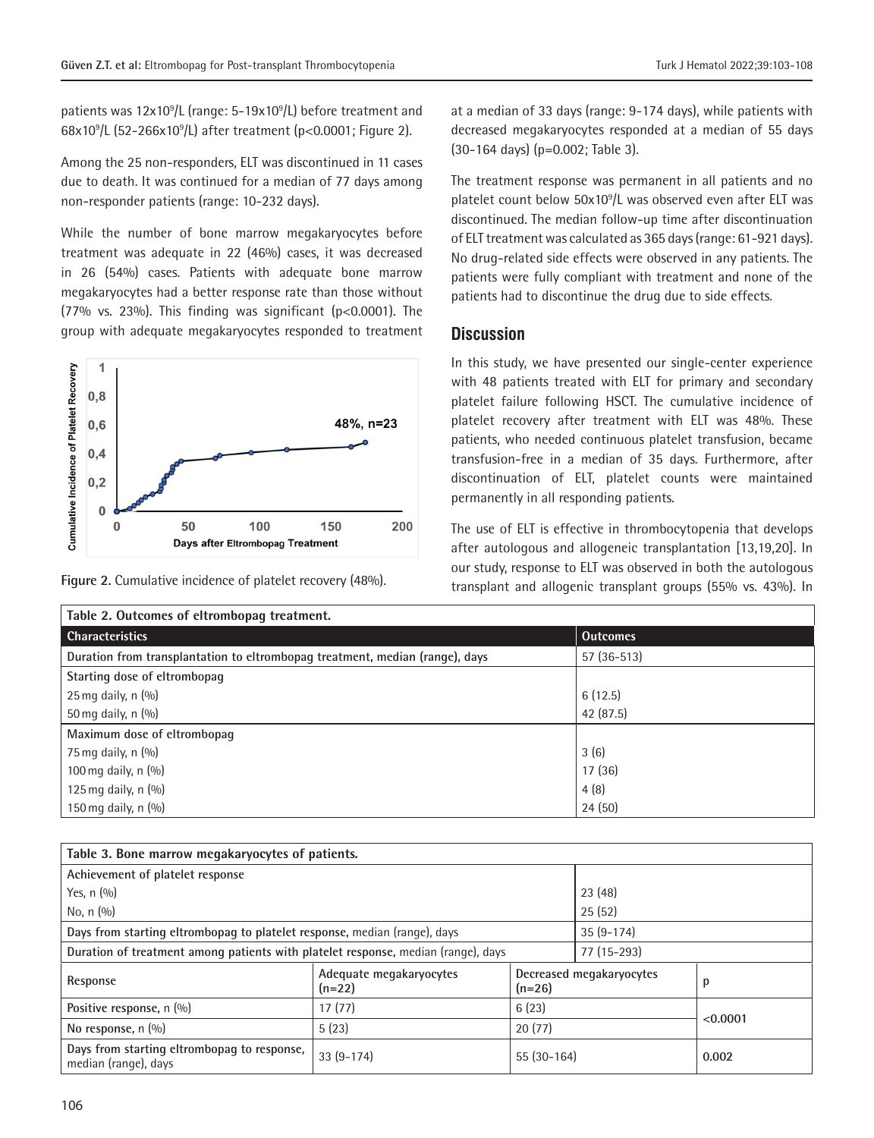patients was 12x10<sup>9</sup>/L (range: 5-19x10<sup>9</sup>/L) before treatment and 68x10<sup>9</sup> /L (52-266x10<sup>9</sup> /L) after treatment (p<0.0001; Figure 2).

Among the 25 non-responders, ELT was discontinued in 11 cases due to death. It was continued for a median of 77 days among non-responder patients (range: 10-232 days).

While the number of bone marrow megakaryocytes before treatment was adequate in 22 (46%) cases, it was decreased in 26 (54%) cases. Patients with adequate bone marrow megakaryocytes had a better response rate than those without (77% vs. 23%). This finding was significant (p<0.0001). The group with adequate megakaryocytes responded to treatment



at a median of 33 days (range: 9-174 days), while patients with decreased megakaryocytes responded at a median of 55 days (30-164 days) (p=0.002; Table 3).

The treatment response was permanent in all patients and no platelet count below 50x10<sup>9</sup> /L was observed even after ELT was discontinued. The median follow-up time after discontinuation of ELT treatment was calculated as 365 days (range: 61-921 days). No drug-related side effects were observed in any patients. The patients were fully compliant with treatment and none of the patients had to discontinue the drug due to side effects.

#### **Discussion**

In this study, we have presented our single-center experience with 48 patients treated with ELT for primary and secondary platelet failure following HSCT. The cumulative incidence of platelet recovery after treatment with ELT was 48%. These patients, who needed continuous platelet transfusion, became transfusion-free in a median of 35 days. Furthermore, after discontinuation of ELT, platelet counts were maintained permanently in all responding patients.

The use of ELT is effective in thrombocytopenia that develops after autologous and allogeneic transplantation [13,19,20]. In our study, response to ELT was observed in both the autologous transplant and allogenic transplant groups (55% vs. 43%). In **Figure 2.** Cumulative incidence of platelet recovery (48%).

| Table 2. Outcomes of eltrombopag treatment.                                  |                 |  |  |  |
|------------------------------------------------------------------------------|-----------------|--|--|--|
| <b>Characteristics</b>                                                       | <b>Outcomes</b> |  |  |  |
| Duration from transplantation to eltrombopag treatment, median (range), days | $57(36-513)$    |  |  |  |
| Starting dose of eltrombopag                                                 |                 |  |  |  |
| $25$ mg daily, n $(\%)$                                                      | 6(12.5)         |  |  |  |
| 50 mg daily, n $(\%)$                                                        | 42 (87.5)       |  |  |  |
| Maximum dose of eltrombopag                                                  |                 |  |  |  |
| 75 mg daily, n $(\%)$                                                        | 3(6)            |  |  |  |
| 100 mg daily, n $(%)$                                                        | 17(36)          |  |  |  |
| 125 mg daily, n $(\%)$                                                       | 4(8)            |  |  |  |
| 150 mg daily, n $(\%)$                                                       | 24(50)          |  |  |  |

| Table 3. Bone marrow megakaryocytes of patients.                                  |                                     |                                      |             |          |  |  |  |
|-----------------------------------------------------------------------------------|-------------------------------------|--------------------------------------|-------------|----------|--|--|--|
| Achievement of platelet response                                                  |                                     |                                      |             |          |  |  |  |
| Yes, $n(%)$                                                                       |                                     |                                      | 23(48)      |          |  |  |  |
| No. $n(9/0)$                                                                      | 25(52)                              |                                      |             |          |  |  |  |
| Days from starting eltrombopag to platelet response, median (range), days         |                                     |                                      | $35(9-174)$ |          |  |  |  |
| Duration of treatment among patients with platelet response, median (range), days |                                     |                                      | 77 (15-293) |          |  |  |  |
| Response                                                                          | Adequate megakaryocytes<br>$(n=22)$ | Decreased megakaryocytes<br>$(n=26)$ |             | р        |  |  |  |
| Positive response, n (%)                                                          | 17(77)                              | 6(23)                                |             | < 0.0001 |  |  |  |
| No response, $n$ $(\%)$                                                           | 5(23)                               | 20(77)                               |             |          |  |  |  |
| Days from starting eltrombopag to response,<br>median (range), days               | $33(9-174)$                         | $55(30-164)$                         |             | 0.002    |  |  |  |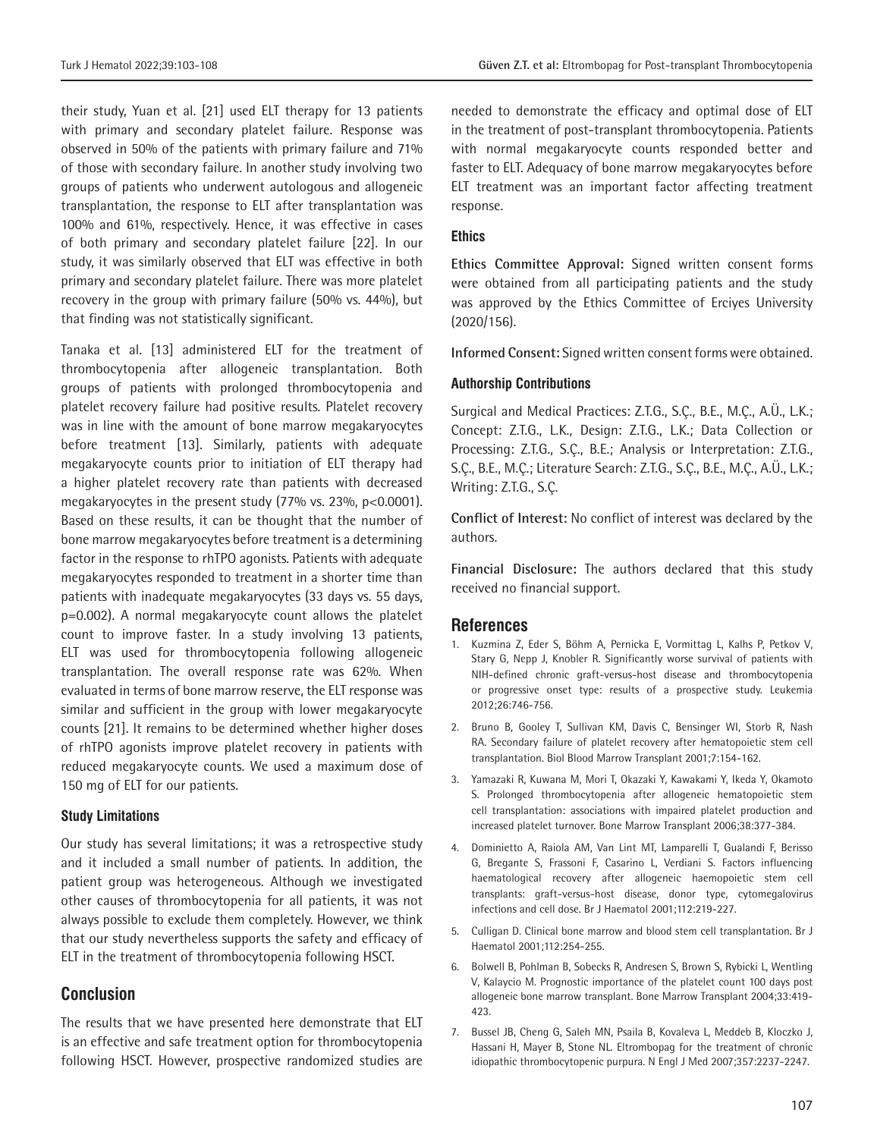their study, Yuan et al. [21] used ELT therapy for 13 patients with primary and secondary platelet failure. Response was observed in 50% of the patients with primary failure and 71% of those with secondary failure. In another study involving two groups of patients who underwent autologous and allogeneic transplantation, the response to ELT after transplantation was 100% and 61%, respectively. Hence, it was effective in cases of both primary and secondary platelet failure [22]. In our study, it was similarly observed that ELT was effective in both primary and secondary platelet failure. There was more platelet recovery in the group with primary failure (50% vs. 44%), but that finding was not statistically significant.

Tanaka et al. [13] administered ELT for the treatment of thrombocytopenia after allogeneic transplantation. Both groups of patients with prolonged thrombocytopenia and platelet recovery failure had positive results. Platelet recovery was in line with the amount of bone marrow megakaryocytes before treatment [13]. Similarly, patients with adequate megakaryocyte counts prior to initiation of ELT therapy had a higher platelet recovery rate than patients with decreased megakaryocytes in the present study (77% vs. 23%, p<0.0001). Based on these results, it can be thought that the number of bone marrow megakaryocytes before treatment is a determining factor in the response to rhTPO agonists. Patients with adequate megakaryocytes responded to treatment in a shorter time than patients with inadequate megakaryocytes (33 days vs. 55 days, p=0.002). A normal megakaryocyte count allows the platelet count to improve faster. In a study involving 13 patients, ELT was used for thrombocytopenia following allogeneic transplantation. The overall response rate was 62%. When evaluated in terms of bone marrow reserve, the ELT response was similar and sufficient in the group with lower megakaryocyte counts [21]. It remains to be determined whether higher doses of rhTPO agonists improve platelet recovery in patients with reduced megakaryocyte counts. We used a maximum dose of 150 mg of ELT for our patients.

#### **Study Limitations**

Our study has several limitations; it was a retrospective study and it included a small number of patients. In addition, the patient group was heterogeneous. Although we investigated other causes of thrombocytopenia for all patients, it was not always possible to exclude them completely. However, we think that our study nevertheless supports the safety and efficacy of ELT in the treatment of thrombocytopenia following HSCT.

#### **Conclusion**

The results that we have presented here demonstrate that ELT is an effective and safe treatment option for thrombocytopenia following HSCT. However, prospective randomized studies are needed to demonstrate the efficacy and optimal dose of ELT in the treatment of post-transplant thrombocytopenia. Patients with normal megakaryocyte counts responded better and faster to ELT. Adequacy of bone marrow megakaryocytes before ELT treatment was an important factor affecting treatment response.

#### **Ethics**

**Ethics Committee Approval:** Signed written consent forms were obtained from all participating patients and the study was approved by the Ethics Committee of Erciyes University (2020/156).

**Informed Consent:** Signed written consent forms were obtained.

#### **Authorship Contributions**

Surgical and Medical Practices: Z.T.G., S.Ç., B.E., M.Ç., A.Ü., L.K.; Concept: Z.T.G., L.K., Design: Z.T.G., L.K.; Data Collection or Processing: Z.T.G., S.Ç., B.E.; Analysis or Interpretation: Z.T.G., S.Ç., B.E., M.Ç.; Literature Search: Z.T.G., S.Ç., B.E., M.Ç., A.Ü., L.K.; Writing: Z.T.G., S.Ç.

**Conflict of Interest:** No conflict of interest was declared by the authors.

**Financial Disclosure:** The authors declared that this study received no financial support.

#### **References**

- 1. Kuzmina Z, Eder S, Böhm A, Pernicka E, Vormittag L, Kalhs P, Petkov V, Stary G, Nepp J, Knobler R. Significantly worse survival of patients with NIH-defined chronic graft-versus-host disease and thrombocytopenia or progressive onset type: results of a prospective study. Leukemia 2012;26:746-756.
- 2. Bruno B, Gooley T, Sullivan KM, Davis C, Bensinger WI, Storb R, Nash RA. Secondary failure of platelet recovery after hematopoietic stem cell transplantation. Biol Blood Marrow Transplant 2001;7:154-162.
- 3. Yamazaki R, Kuwana M, Mori T, Okazaki Y, Kawakami Y, Ikeda Y, Okamoto S. Prolonged thrombocytopenia after allogeneic hematopoietic stem cell transplantation: associations with impaired platelet production and increased platelet turnover. Bone Marrow Transplant 2006;38:377-384.
- 4. Dominietto A, Raiola AM, Van Lint MT, Lamparelli T, Gualandi F, Berisso G, Bregante S, Frassoni F, Casarino L, Verdiani S. Factors influencing haematological recovery after allogeneic haemopoietic stem cell transplants: graft‐versus‐host disease, donor type, cytomegalovirus infections and cell dose. Br J Haematol 2001;112:219-227.
- 5. Culligan D. Clinical bone marrow and blood stem cell transplantation. Br J Haematol 2001;112:254-255.
- 6. Bolwell B, Pohlman B, Sobecks R, Andresen S, Brown S, Rybicki L, Wentling V, Kalaycio M. Prognostic importance of the platelet count 100 days post allogeneic bone marrow transplant. Bone Marrow Transplant 2004;33:419- 423.
- 7. Bussel JB, Cheng G, Saleh MN, Psaila B, Kovaleva L, Meddeb B, Kloczko J, Hassani H, Mayer B, Stone NL. Eltrombopag for the treatment of chronic idiopathic thrombocytopenic purpura. N Engl J Med 2007;357:2237-2247.